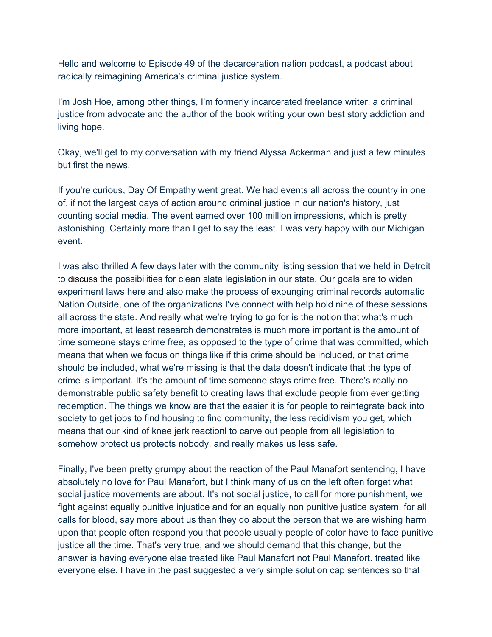Hello and welcome to Episode 49 of the decarceration nation podcast, a podcast about radically reimagining America's criminal justice system.

I'm Josh Hoe, among other things, I'm formerly incarcerated freelance writer, a criminal justice from advocate and the author of the book writing your own best story addiction and living hope.

Okay, we'll get to my conversation with my friend Alyssa Ackerman and just a few minutes but first the news.

If you're curious, Day Of Empathy went great. We had events all across the country in one of, if not the largest days of action around criminal justice in our nation's history, just counting social media. The event earned over 100 million impressions, which is pretty astonishing. Certainly more than I get to say the least. I was very happy with our Michigan event.

I was also thrilled A few days later with the community listing session that we held in Detroit to discuss the possibilities for clean slate legislation in our state. Our goals are to widen experiment laws here and also make the process of expunging criminal records automatic Nation Outside, one of the organizations I've connect with help hold nine of these sessions all across the state. And really what we're trying to go for is the notion that what's much more important, at least research demonstrates is much more important is the amount of time someone stays crime free, as opposed to the type of crime that was committed, which means that when we focus on things like if this crime should be included, or that crime should be included, what we're missing is that the data doesn't indicate that the type of crime is important. It's the amount of time someone stays crime free. There's really no demonstrable public safety benefit to creating laws that exclude people from ever getting redemption. The things we know are that the easier it is for people to reintegrate back into society to get jobs to find housing to find community, the less recidivism you get, which means that our kind of knee jerk reactionl to carve out people from all legislation to somehow protect us protects nobody, and really makes us less safe.

Finally, I've been pretty grumpy about the reaction of the Paul Manafort sentencing, I have absolutely no love for Paul Manafort, but I think many of us on the left often forget what social justice movements are about. It's not social justice, to call for more punishment, we fight against equally punitive injustice and for an equally non punitive justice system, for all calls for blood, say more about us than they do about the person that we are wishing harm upon that people often respond you that people usually people of color have to face punitive justice all the time. That's very true, and we should demand that this change, but the answer is having everyone else treated like Paul Manafort not Paul Manafort. treated like everyone else. I have in the past suggested a very simple solution cap sentences so that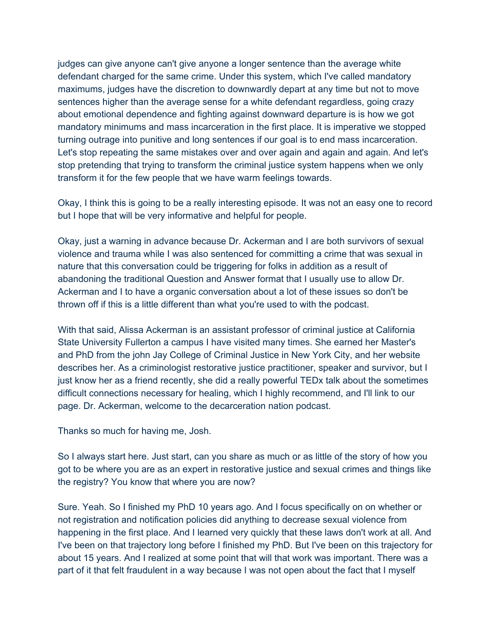judges can give anyone can't give anyone a longer sentence than the average white defendant charged for the same crime. Under this system, which I've called mandatory maximums, judges have the discretion to downwardly depart at any time but not to move sentences higher than the average sense for a white defendant regardless, going crazy about emotional dependence and fighting against downward departure is is how we got mandatory minimums and mass incarceration in the first place. It is imperative we stopped turning outrage into punitive and long sentences if our goal is to end mass incarceration. Let's stop repeating the same mistakes over and over again and again and again. And let's stop pretending that trying to transform the criminal justice system happens when we only transform it for the few people that we have warm feelings towards.

Okay, I think this is going to be a really interesting episode. It was not an easy one to record but I hope that will be very informative and helpful for people.

Okay, just a warning in advance because Dr. Ackerman and I are both survivors of sexual violence and trauma while I was also sentenced for committing a crime that was sexual in nature that this conversation could be triggering for folks in addition as a result of abandoning the traditional Question and Answer format that I usually use to allow Dr. Ackerman and I to have a organic conversation about a lot of these issues so don't be thrown off if this is a little different than what you're used to with the podcast.

With that said, Alissa Ackerman is an assistant professor of criminal justice at California State University Fullerton a campus I have visited many times. She earned her Master's and PhD from the john Jay College of Criminal Justice in New York City, and her website describes her. As a criminologist restorative justice practitioner, speaker and survivor, but I just know her as a friend recently, she did a really powerful TEDx talk about the sometimes difficult connections necessary for healing, which I highly recommend, and I'll link to our page. Dr. Ackerman, welcome to the decarceration nation podcast.

Thanks so much for having me, Josh.

So I always start here. Just start, can you share as much or as little of the story of how you got to be where you are as an expert in restorative justice and sexual crimes and things like the registry? You know that where you are now?

Sure. Yeah. So I finished my PhD 10 years ago. And I focus specifically on on whether or not registration and notification policies did anything to decrease sexual violence from happening in the first place. And I learned very quickly that these laws don't work at all. And I've been on that trajectory long before I finished my PhD. But I've been on this trajectory for about 15 years. And I realized at some point that will that work was important. There was a part of it that felt fraudulent in a way because I was not open about the fact that I myself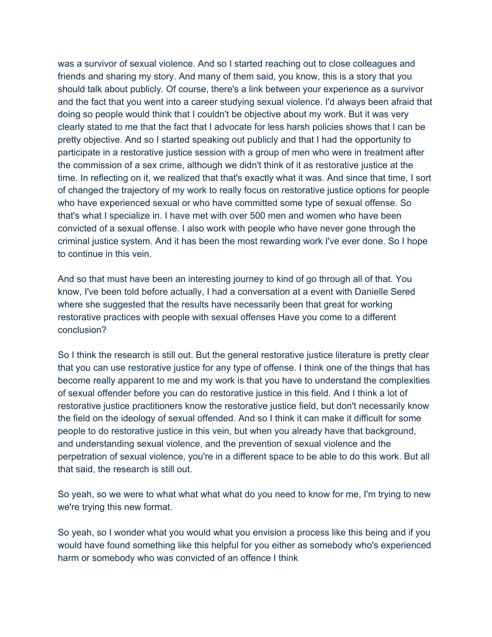was a survivor of sexual violence. And so I started reaching out to close colleagues and friends and sharing my story. And many of them said, you know, this is a story that you should talk about publicly. Of course, there's a link between your experience as a survivor and the fact that you went into a career studying sexual violence. I'd always been afraid that doing so people would think that I couldn't be objective about my work. But it was very clearly stated to me that the fact that I advocate for less harsh policies shows that I can be pretty objective. And so I started speaking out publicly and that I had the opportunity to participate in a restorative justice session with a group of men who were in treatment after the commission of a sex crime, although we didn't think of it as restorative justice at the time. In reflecting on it, we realized that that's exactly what it was. And since that time, I sort of changed the trajectory of my work to really focus on restorative justice options for people who have experienced sexual or who have committed some type of sexual offense. So that's what I specialize in. I have met with over 500 men and women who have been convicted of a sexual offense. I also work with people who have never gone through the criminal justice system. And it has been the most rewarding work I've ever done. So I hope to continue in this vein.

And so that must have been an interesting journey to kind of go through all of that. You know, I've been told before actually, I had a conversation at a event with Danielle Sered where she suggested that the results have necessarily been that great for working restorative practices with people with sexual offenses Have you come to a different conclusion?

So I think the research is still out. But the general restorative justice literature is pretty clear that you can use restorative justice for any type of offense. I think one of the things that has become really apparent to me and my work is that you have to understand the complexities of sexual offender before you can do restorative justice in this field. And I think a lot of restorative justice practitioners know the restorative justice field, but don't necessarily know the field on the ideology of sexual offended. And so I think it can make it difficult for some people to do restorative justice in this vein, but when you already have that background, and understanding sexual violence, and the prevention of sexual violence and the perpetration of sexual violence, you're in a different space to be able to do this work. But all that said, the research is still out.

So yeah, so we were to what what what what do you need to know for me, I'm trying to new we're trying this new format.

So yeah, so I wonder what you would what you envision a process like this being and if you would have found something like this helpful for you either as somebody who's experienced harm or somebody who was convicted of an offence I think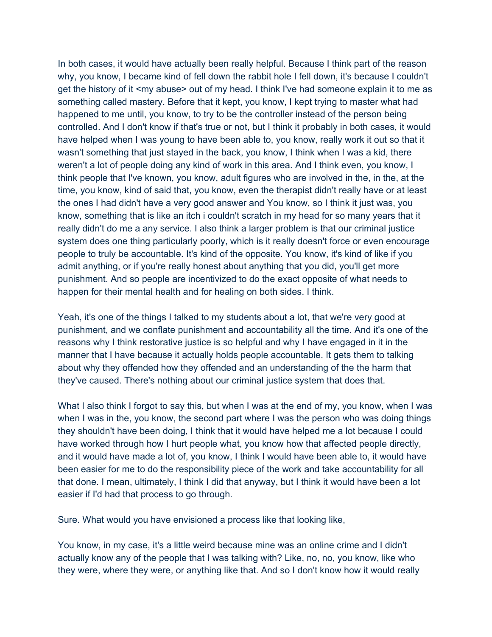In both cases, it would have actually been really helpful. Because I think part of the reason why, you know, I became kind of fell down the rabbit hole I fell down, it's because I couldn't get the history of it <my abuse> out of my head. I think I've had someone explain it to me as something called mastery. Before that it kept, you know, I kept trying to master what had happened to me until, you know, to try to be the controller instead of the person being controlled. And I don't know if that's true or not, but I think it probably in both cases, it would have helped when I was young to have been able to, you know, really work it out so that it wasn't something that just stayed in the back, you know, I think when I was a kid, there weren't a lot of people doing any kind of work in this area. And I think even, you know, I think people that I've known, you know, adult figures who are involved in the, in the, at the time, you know, kind of said that, you know, even the therapist didn't really have or at least the ones I had didn't have a very good answer and You know, so I think it just was, you know, something that is like an itch i couldn't scratch in my head for so many years that it really didn't do me a any service. I also think a larger problem is that our criminal justice system does one thing particularly poorly, which is it really doesn't force or even encourage people to truly be accountable. It's kind of the opposite. You know, it's kind of like if you admit anything, or if you're really honest about anything that you did, you'll get more punishment. And so people are incentivized to do the exact opposite of what needs to happen for their mental health and for healing on both sides. I think.

Yeah, it's one of the things I talked to my students about a lot, that we're very good at punishment, and we conflate punishment and accountability all the time. And it's one of the reasons why I think restorative justice is so helpful and why I have engaged in it in the manner that I have because it actually holds people accountable. It gets them to talking about why they offended how they offended and an understanding of the the harm that they've caused. There's nothing about our criminal justice system that does that.

What I also think I forgot to say this, but when I was at the end of my, you know, when I was when I was in the, you know, the second part where I was the person who was doing things they shouldn't have been doing, I think that it would have helped me a lot because I could have worked through how I hurt people what, you know how that affected people directly, and it would have made a lot of, you know, I think I would have been able to, it would have been easier for me to do the responsibility piece of the work and take accountability for all that done. I mean, ultimately, I think I did that anyway, but I think it would have been a lot easier if I'd had that process to go through.

Sure. What would you have envisioned a process like that looking like,

You know, in my case, it's a little weird because mine was an online crime and I didn't actually know any of the people that I was talking with? Like, no, no, you know, like who they were, where they were, or anything like that. And so I don't know how it would really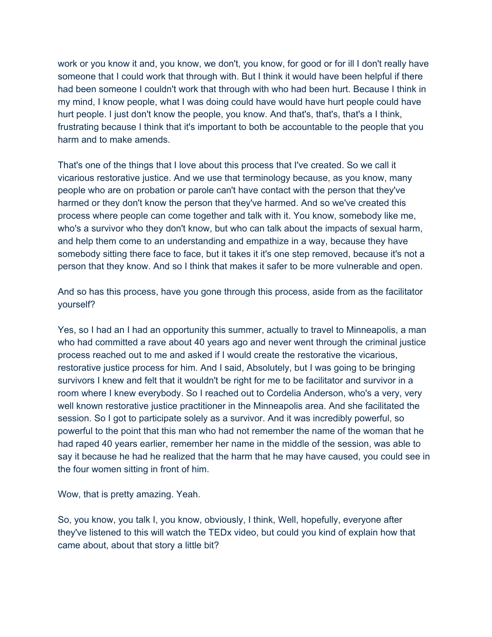work or you know it and, you know, we don't, you know, for good or for ill I don't really have someone that I could work that through with. But I think it would have been helpful if there had been someone I couldn't work that through with who had been hurt. Because I think in my mind, I know people, what I was doing could have would have hurt people could have hurt people. I just don't know the people, you know. And that's, that's, that's a I think, frustrating because I think that it's important to both be accountable to the people that you harm and to make amends.

That's one of the things that I love about this process that I've created. So we call it vicarious restorative justice. And we use that terminology because, as you know, many people who are on probation or parole can't have contact with the person that they've harmed or they don't know the person that they've harmed. And so we've created this process where people can come together and talk with it. You know, somebody like me, who's a survivor who they don't know, but who can talk about the impacts of sexual harm, and help them come to an understanding and empathize in a way, because they have somebody sitting there face to face, but it takes it it's one step removed, because it's not a person that they know. And so I think that makes it safer to be more vulnerable and open.

And so has this process, have you gone through this process, aside from as the facilitator yourself?

Yes, so I had an I had an opportunity this summer, actually to travel to Minneapolis, a man who had committed a rave about 40 years ago and never went through the criminal justice process reached out to me and asked if I would create the restorative the vicarious, restorative justice process for him. And I said, Absolutely, but I was going to be bringing survivors I knew and felt that it wouldn't be right for me to be facilitator and survivor in a room where I knew everybody. So I reached out to Cordelia Anderson, who's a very, very well known restorative justice practitioner in the Minneapolis area. And she facilitated the session. So I got to participate solely as a survivor. And it was incredibly powerful, so powerful to the point that this man who had not remember the name of the woman that he had raped 40 years earlier, remember her name in the middle of the session, was able to say it because he had he realized that the harm that he may have caused, you could see in the four women sitting in front of him.

Wow, that is pretty amazing. Yeah.

So, you know, you talk I, you know, obviously, I think, Well, hopefully, everyone after they've listened to this will watch the TEDx video, but could you kind of explain how that came about, about that story a little bit?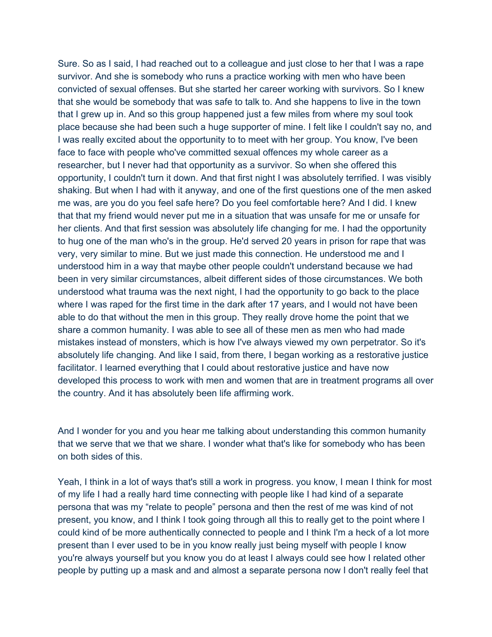Sure. So as I said, I had reached out to a colleague and just close to her that I was a rape survivor. And she is somebody who runs a practice working with men who have been convicted of sexual offenses. But she started her career working with survivors. So I knew that she would be somebody that was safe to talk to. And she happens to live in the town that I grew up in. And so this group happened just a few miles from where my soul took place because she had been such a huge supporter of mine. I felt like I couldn't say no, and I was really excited about the opportunity to to meet with her group. You know, I've been face to face with people who've committed sexual offences my whole career as a researcher, but I never had that opportunity as a survivor. So when she offered this opportunity, I couldn't turn it down. And that first night I was absolutely terrified. I was visibly shaking. But when I had with it anyway, and one of the first questions one of the men asked me was, are you do you feel safe here? Do you feel comfortable here? And I did. I knew that that my friend would never put me in a situation that was unsafe for me or unsafe for her clients. And that first session was absolutely life changing for me. I had the opportunity to hug one of the man who's in the group. He'd served 20 years in prison for rape that was very, very similar to mine. But we just made this connection. He understood me and I understood him in a way that maybe other people couldn't understand because we had been in very similar circumstances, albeit different sides of those circumstances. We both understood what trauma was the next night, I had the opportunity to go back to the place where I was raped for the first time in the dark after 17 years, and I would not have been able to do that without the men in this group. They really drove home the point that we share a common humanity. I was able to see all of these men as men who had made mistakes instead of monsters, which is how I've always viewed my own perpetrator. So it's absolutely life changing. And like I said, from there, I began working as a restorative justice facilitator. I learned everything that I could about restorative justice and have now developed this process to work with men and women that are in treatment programs all over the country. And it has absolutely been life affirming work.

And I wonder for you and you hear me talking about understanding this common humanity that we serve that we that we share. I wonder what that's like for somebody who has been on both sides of this.

Yeah, I think in a lot of ways that's still a work in progress. you know, I mean I think for most of my life I had a really hard time connecting with people like I had kind of a separate persona that was my "relate to people" persona and then the rest of me was kind of not present, you know, and I think I took going through all this to really get to the point where I could kind of be more authentically connected to people and I think I'm a heck of a lot more present than I ever used to be in you know really just being myself with people I know you're always yourself but you know you do at least I always could see how I related other people by putting up a mask and and almost a separate persona now I don't really feel that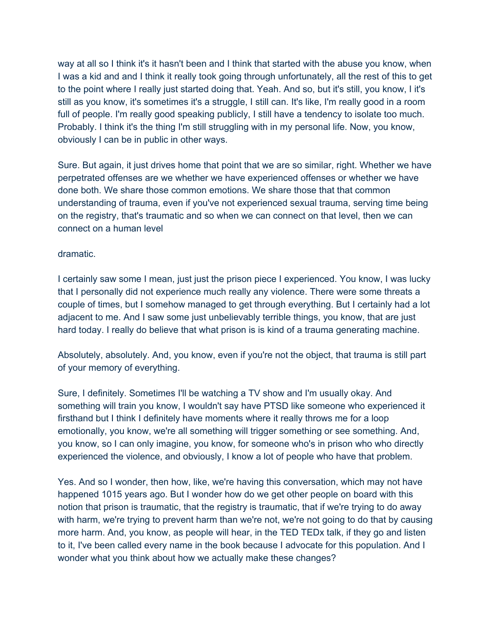way at all so I think it's it hasn't been and I think that started with the abuse you know, when I was a kid and and I think it really took going through unfortunately, all the rest of this to get to the point where I really just started doing that. Yeah. And so, but it's still, you know, I it's still as you know, it's sometimes it's a struggle, I still can. It's like, I'm really good in a room full of people. I'm really good speaking publicly, I still have a tendency to isolate too much. Probably. I think it's the thing I'm still struggling with in my personal life. Now, you know, obviously I can be in public in other ways.

Sure. But again, it just drives home that point that we are so similar, right. Whether we have perpetrated offenses are we whether we have experienced offenses or whether we have done both. We share those common emotions. We share those that that common understanding of trauma, even if you've not experienced sexual trauma, serving time being on the registry, that's traumatic and so when we can connect on that level, then we can connect on a human level

## dramatic.

I certainly saw some I mean, just just the prison piece I experienced. You know, I was lucky that I personally did not experience much really any violence. There were some threats a couple of times, but I somehow managed to get through everything. But I certainly had a lot adjacent to me. And I saw some just unbelievably terrible things, you know, that are just hard today. I really do believe that what prison is is kind of a trauma generating machine.

Absolutely, absolutely. And, you know, even if you're not the object, that trauma is still part of your memory of everything.

Sure, I definitely. Sometimes I'll be watching a TV show and I'm usually okay. And something will train you know, I wouldn't say have PTSD like someone who experienced it firsthand but I think I definitely have moments where it really throws me for a loop emotionally, you know, we're all something will trigger something or see something. And, you know, so I can only imagine, you know, for someone who's in prison who who directly experienced the violence, and obviously, I know a lot of people who have that problem.

Yes. And so I wonder, then how, like, we're having this conversation, which may not have happened 1015 years ago. But I wonder how do we get other people on board with this notion that prison is traumatic, that the registry is traumatic, that if we're trying to do away with harm, we're trying to prevent harm than we're not, we're not going to do that by causing more harm. And, you know, as people will hear, in the TED TEDx talk, if they go and listen to it, I've been called every name in the book because I advocate for this population. And I wonder what you think about how we actually make these changes?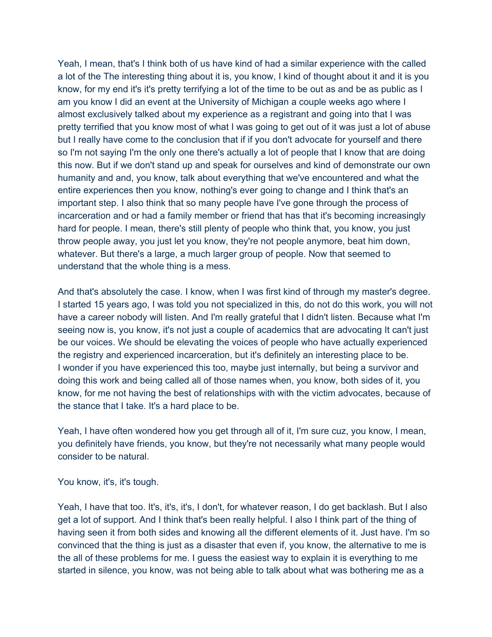Yeah, I mean, that's I think both of us have kind of had a similar experience with the called a lot of the The interesting thing about it is, you know, I kind of thought about it and it is you know, for my end it's it's pretty terrifying a lot of the time to be out as and be as public as I am you know I did an event at the University of Michigan a couple weeks ago where I almost exclusively talked about my experience as a registrant and going into that I was pretty terrified that you know most of what I was going to get out of it was just a lot of abuse but I really have come to the conclusion that if if you don't advocate for yourself and there so I'm not saying I'm the only one there's actually a lot of people that I know that are doing this now. But if we don't stand up and speak for ourselves and kind of demonstrate our own humanity and and, you know, talk about everything that we've encountered and what the entire experiences then you know, nothing's ever going to change and I think that's an important step. I also think that so many people have I've gone through the process of incarceration and or had a family member or friend that has that it's becoming increasingly hard for people. I mean, there's still plenty of people who think that, you know, you just throw people away, you just let you know, they're not people anymore, beat him down, whatever. But there's a large, a much larger group of people. Now that seemed to understand that the whole thing is a mess.

And that's absolutely the case. I know, when I was first kind of through my master's degree. I started 15 years ago, I was told you not specialized in this, do not do this work, you will not have a career nobody will listen. And I'm really grateful that I didn't listen. Because what I'm seeing now is, you know, it's not just a couple of academics that are advocating It can't just be our voices. We should be elevating the voices of people who have actually experienced the registry and experienced incarceration, but it's definitely an interesting place to be. I wonder if you have experienced this too, maybe just internally, but being a survivor and doing this work and being called all of those names when, you know, both sides of it, you know, for me not having the best of relationships with with the victim advocates, because of the stance that I take. It's a hard place to be.

Yeah, I have often wondered how you get through all of it, I'm sure cuz, you know, I mean, you definitely have friends, you know, but they're not necessarily what many people would consider to be natural.

You know, it's, it's tough.

Yeah, I have that too. It's, it's, it's, I don't, for whatever reason, I do get backlash. But I also get a lot of support. And I think that's been really helpful. I also I think part of the thing of having seen it from both sides and knowing all the different elements of it. Just have. I'm so convinced that the thing is just as a disaster that even if, you know, the alternative to me is the all of these problems for me. I guess the easiest way to explain it is everything to me started in silence, you know, was not being able to talk about what was bothering me as a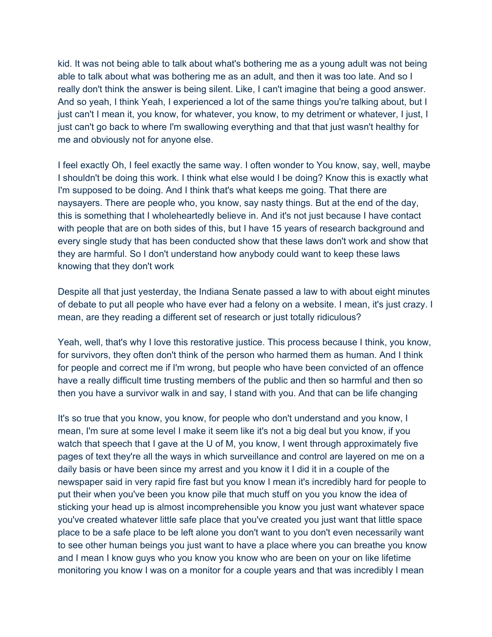kid. It was not being able to talk about what's bothering me as a young adult was not being able to talk about what was bothering me as an adult, and then it was too late. And so I really don't think the answer is being silent. Like, I can't imagine that being a good answer. And so yeah, I think Yeah, I experienced a lot of the same things you're talking about, but I just can't I mean it, you know, for whatever, you know, to my detriment or whatever, I just, I just can't go back to where I'm swallowing everything and that that just wasn't healthy for me and obviously not for anyone else.

I feel exactly Oh, I feel exactly the same way. I often wonder to You know, say, well, maybe I shouldn't be doing this work. I think what else would I be doing? Know this is exactly what I'm supposed to be doing. And I think that's what keeps me going. That there are naysayers. There are people who, you know, say nasty things. But at the end of the day, this is something that I wholeheartedly believe in. And it's not just because I have contact with people that are on both sides of this, but I have 15 years of research background and every single study that has been conducted show that these laws don't work and show that they are harmful. So I don't understand how anybody could want to keep these laws knowing that they don't work

Despite all that just yesterday, the Indiana Senate passed a law to with about eight minutes of debate to put all people who have ever had a felony on a website. I mean, it's just crazy. I mean, are they reading a different set of research or just totally ridiculous?

Yeah, well, that's why I love this restorative justice. This process because I think, you know, for survivors, they often don't think of the person who harmed them as human. And I think for people and correct me if I'm wrong, but people who have been convicted of an offence have a really difficult time trusting members of the public and then so harmful and then so then you have a survivor walk in and say, I stand with you. And that can be life changing

It's so true that you know, you know, for people who don't understand and you know, I mean, I'm sure at some level I make it seem like it's not a big deal but you know, if you watch that speech that I gave at the U of M, you know, I went through approximately five pages of text they're all the ways in which surveillance and control are layered on me on a daily basis or have been since my arrest and you know it I did it in a couple of the newspaper said in very rapid fire fast but you know I mean it's incredibly hard for people to put their when you've been you know pile that much stuff on you you know the idea of sticking your head up is almost incomprehensible you know you just want whatever space you've created whatever little safe place that you've created you just want that little space place to be a safe place to be left alone you don't want to you don't even necessarily want to see other human beings you just want to have a place where you can breathe you know and I mean I know guys who you know you know who are been on your on like lifetime monitoring you know I was on a monitor for a couple years and that was incredibly I mean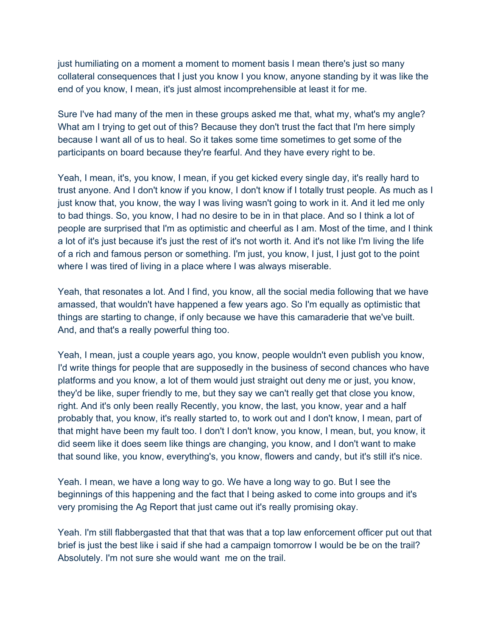just humiliating on a moment a moment to moment basis I mean there's just so many collateral consequences that I just you know I you know, anyone standing by it was like the end of you know, I mean, it's just almost incomprehensible at least it for me.

Sure I've had many of the men in these groups asked me that, what my, what's my angle? What am I trying to get out of this? Because they don't trust the fact that I'm here simply because I want all of us to heal. So it takes some time sometimes to get some of the participants on board because they're fearful. And they have every right to be.

Yeah, I mean, it's, you know, I mean, if you get kicked every single day, it's really hard to trust anyone. And I don't know if you know, I don't know if I totally trust people. As much as I just know that, you know, the way I was living wasn't going to work in it. And it led me only to bad things. So, you know, I had no desire to be in in that place. And so I think a lot of people are surprised that I'm as optimistic and cheerful as I am. Most of the time, and I think a lot of it's just because it's just the rest of it's not worth it. And it's not like I'm living the life of a rich and famous person or something. I'm just, you know, I just, I just got to the point where I was tired of living in a place where I was always miserable.

Yeah, that resonates a lot. And I find, you know, all the social media following that we have amassed, that wouldn't have happened a few years ago. So I'm equally as optimistic that things are starting to change, if only because we have this camaraderie that we've built. And, and that's a really powerful thing too.

Yeah, I mean, just a couple years ago, you know, people wouldn't even publish you know, I'd write things for people that are supposedly in the business of second chances who have platforms and you know, a lot of them would just straight out deny me or just, you know, they'd be like, super friendly to me, but they say we can't really get that close you know, right. And it's only been really Recently, you know, the last, you know, year and a half probably that, you know, it's really started to, to work out and I don't know, I mean, part of that might have been my fault too. I don't I don't know, you know, I mean, but, you know, it did seem like it does seem like things are changing, you know, and I don't want to make that sound like, you know, everything's, you know, flowers and candy, but it's still it's nice.

Yeah. I mean, we have a long way to go. We have a long way to go. But I see the beginnings of this happening and the fact that I being asked to come into groups and it's very promising the Ag Report that just came out it's really promising okay.

Yeah. I'm still flabbergasted that that that was that a top law enforcement officer put out that brief is just the best like i said if she had a campaign tomorrow I would be be on the trail? Absolutely. I'm not sure she would want me on the trail.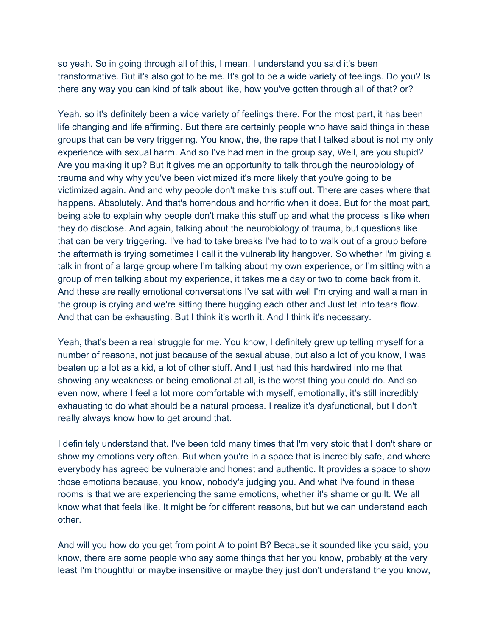so yeah. So in going through all of this, I mean, I understand you said it's been transformative. But it's also got to be me. It's got to be a wide variety of feelings. Do you? Is there any way you can kind of talk about like, how you've gotten through all of that? or?

Yeah, so it's definitely been a wide variety of feelings there. For the most part, it has been life changing and life affirming. But there are certainly people who have said things in these groups that can be very triggering. You know, the, the rape that I talked about is not my only experience with sexual harm. And so I've had men in the group say, Well, are you stupid? Are you making it up? But it gives me an opportunity to talk through the neurobiology of trauma and why why you've been victimized it's more likely that you're going to be victimized again. And and why people don't make this stuff out. There are cases where that happens. Absolutely. And that's horrendous and horrific when it does. But for the most part, being able to explain why people don't make this stuff up and what the process is like when they do disclose. And again, talking about the neurobiology of trauma, but questions like that can be very triggering. I've had to take breaks I've had to to walk out of a group before the aftermath is trying sometimes I call it the vulnerability hangover. So whether I'm giving a talk in front of a large group where I'm talking about my own experience, or I'm sitting with a group of men talking about my experience, it takes me a day or two to come back from it. And these are really emotional conversations I've sat with well I'm crying and wall a man in the group is crying and we're sitting there hugging each other and Just let into tears flow. And that can be exhausting. But I think it's worth it. And I think it's necessary.

Yeah, that's been a real struggle for me. You know, I definitely grew up telling myself for a number of reasons, not just because of the sexual abuse, but also a lot of you know, I was beaten up a lot as a kid, a lot of other stuff. And I just had this hardwired into me that showing any weakness or being emotional at all, is the worst thing you could do. And so even now, where I feel a lot more comfortable with myself, emotionally, it's still incredibly exhausting to do what should be a natural process. I realize it's dysfunctional, but I don't really always know how to get around that.

I definitely understand that. I've been told many times that I'm very stoic that I don't share or show my emotions very often. But when you're in a space that is incredibly safe, and where everybody has agreed be vulnerable and honest and authentic. It provides a space to show those emotions because, you know, nobody's judging you. And what I've found in these rooms is that we are experiencing the same emotions, whether it's shame or guilt. We all know what that feels like. It might be for different reasons, but but we can understand each other.

And will you how do you get from point A to point B? Because it sounded like you said, you know, there are some people who say some things that her you know, probably at the very least I'm thoughtful or maybe insensitive or maybe they just don't understand the you know,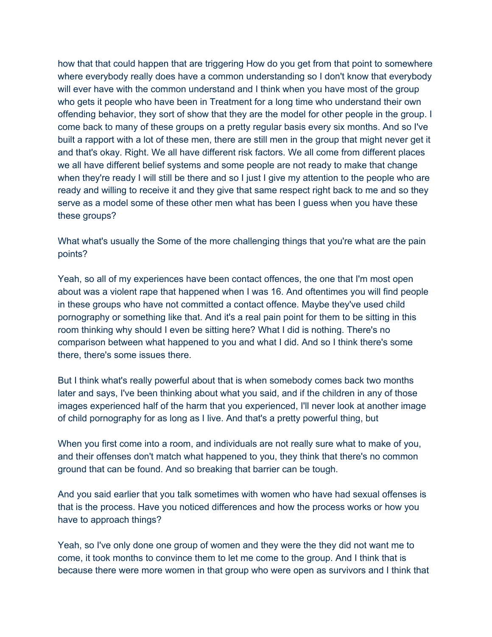how that that could happen that are triggering How do you get from that point to somewhere where everybody really does have a common understanding so I don't know that everybody will ever have with the common understand and I think when you have most of the group who gets it people who have been in Treatment for a long time who understand their own offending behavior, they sort of show that they are the model for other people in the group. I come back to many of these groups on a pretty regular basis every six months. And so I've built a rapport with a lot of these men, there are still men in the group that might never get it and that's okay. Right. We all have different risk factors. We all come from different places we all have different belief systems and some people are not ready to make that change when they're ready I will still be there and so I just I give my attention to the people who are ready and willing to receive it and they give that same respect right back to me and so they serve as a model some of these other men what has been I guess when you have these these groups?

What what's usually the Some of the more challenging things that you're what are the pain points?

Yeah, so all of my experiences have been contact offences, the one that I'm most open about was a violent rape that happened when I was 16. And oftentimes you will find people in these groups who have not committed a contact offence. Maybe they've used child pornography or something like that. And it's a real pain point for them to be sitting in this room thinking why should I even be sitting here? What I did is nothing. There's no comparison between what happened to you and what I did. And so I think there's some there, there's some issues there.

But I think what's really powerful about that is when somebody comes back two months later and says, I've been thinking about what you said, and if the children in any of those images experienced half of the harm that you experienced, I'll never look at another image of child pornography for as long as I live. And that's a pretty powerful thing, but

When you first come into a room, and individuals are not really sure what to make of you, and their offenses don't match what happened to you, they think that there's no common ground that can be found. And so breaking that barrier can be tough.

And you said earlier that you talk sometimes with women who have had sexual offenses is that is the process. Have you noticed differences and how the process works or how you have to approach things?

Yeah, so I've only done one group of women and they were the they did not want me to come, it took months to convince them to let me come to the group. And I think that is because there were more women in that group who were open as survivors and I think that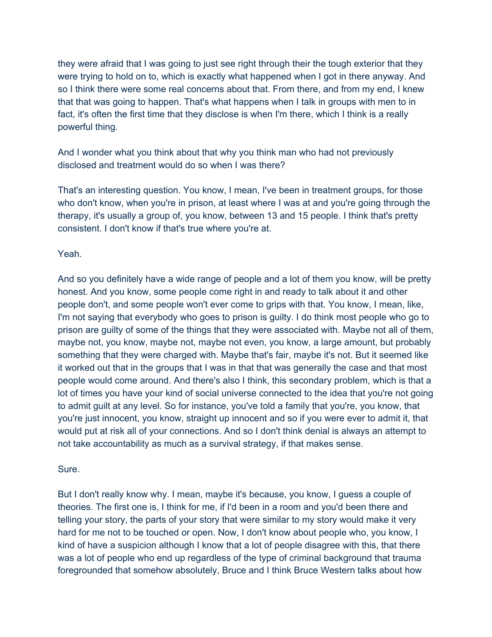they were afraid that I was going to just see right through their the tough exterior that they were trying to hold on to, which is exactly what happened when I got in there anyway. And so I think there were some real concerns about that. From there, and from my end, I knew that that was going to happen. That's what happens when I talk in groups with men to in fact, it's often the first time that they disclose is when I'm there, which I think is a really powerful thing.

And I wonder what you think about that why you think man who had not previously disclosed and treatment would do so when I was there?

That's an interesting question. You know, I mean, I've been in treatment groups, for those who don't know, when you're in prison, at least where I was at and you're going through the therapy, it's usually a group of, you know, between 13 and 15 people. I think that's pretty consistent. I don't know if that's true where you're at.

## Yeah.

And so you definitely have a wide range of people and a lot of them you know, will be pretty honest. And you know, some people come right in and ready to talk about it and other people don't, and some people won't ever come to grips with that. You know, I mean, like, I'm not saying that everybody who goes to prison is guilty. I do think most people who go to prison are guilty of some of the things that they were associated with. Maybe not all of them, maybe not, you know, maybe not, maybe not even, you know, a large amount, but probably something that they were charged with. Maybe that's fair, maybe it's not. But it seemed like it worked out that in the groups that I was in that that was generally the case and that most people would come around. And there's also I think, this secondary problem, which is that a lot of times you have your kind of social universe connected to the idea that you're not going to admit guilt at any level. So for instance, you've told a family that you're, you know, that you're just innocent, you know, straight up innocent and so if you were ever to admit it, that would put at risk all of your connections. And so I don't think denial is always an attempt to not take accountability as much as a survival strategy, if that makes sense.

## Sure.

But I don't really know why. I mean, maybe it's because, you know, I guess a couple of theories. The first one is, I think for me, if I'd been in a room and you'd been there and telling your story, the parts of your story that were similar to my story would make it very hard for me not to be touched or open. Now, I don't know about people who, you know, I kind of have a suspicion although I know that a lot of people disagree with this, that there was a lot of people who end up regardless of the type of criminal background that trauma foregrounded that somehow absolutely, Bruce and I think Bruce Western talks about how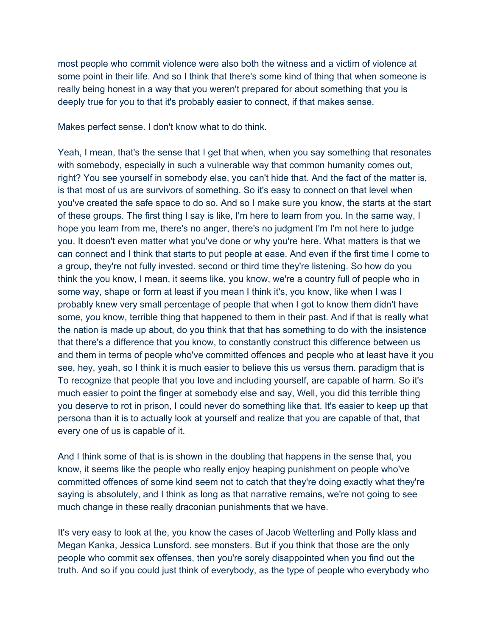most people who commit violence were also both the witness and a victim of violence at some point in their life. And so I think that there's some kind of thing that when someone is really being honest in a way that you weren't prepared for about something that you is deeply true for you to that it's probably easier to connect, if that makes sense.

Makes perfect sense. I don't know what to do think.

Yeah, I mean, that's the sense that I get that when, when you say something that resonates with somebody, especially in such a vulnerable way that common humanity comes out, right? You see yourself in somebody else, you can't hide that. And the fact of the matter is, is that most of us are survivors of something. So it's easy to connect on that level when you've created the safe space to do so. And so I make sure you know, the starts at the start of these groups. The first thing I say is like, I'm here to learn from you. In the same way, I hope you learn from me, there's no anger, there's no judgment I'm I'm not here to judge you. It doesn't even matter what you've done or why you're here. What matters is that we can connect and I think that starts to put people at ease. And even if the first time I come to a group, they're not fully invested. second or third time they're listening. So how do you think the you know, I mean, it seems like, you know, we're a country full of people who in some way, shape or form at least if you mean I think it's, you know, like when I was I probably knew very small percentage of people that when I got to know them didn't have some, you know, terrible thing that happened to them in their past. And if that is really what the nation is made up about, do you think that that has something to do with the insistence that there's a difference that you know, to constantly construct this difference between us and them in terms of people who've committed offences and people who at least have it you see, hey, yeah, so I think it is much easier to believe this us versus them. paradigm that is To recognize that people that you love and including yourself, are capable of harm. So it's much easier to point the finger at somebody else and say, Well, you did this terrible thing you deserve to rot in prison, I could never do something like that. It's easier to keep up that persona than it is to actually look at yourself and realize that you are capable of that, that every one of us is capable of it.

And I think some of that is is shown in the doubling that happens in the sense that, you know, it seems like the people who really enjoy heaping punishment on people who've committed offences of some kind seem not to catch that they're doing exactly what they're saying is absolutely, and I think as long as that narrative remains, we're not going to see much change in these really draconian punishments that we have.

It's very easy to look at the, you know the cases of Jacob Wetterling and Polly klass and Megan Kanka, Jessica Lunsford. see monsters. But if you think that those are the only people who commit sex offenses, then you're sorely disappointed when you find out the truth. And so if you could just think of everybody, as the type of people who everybody who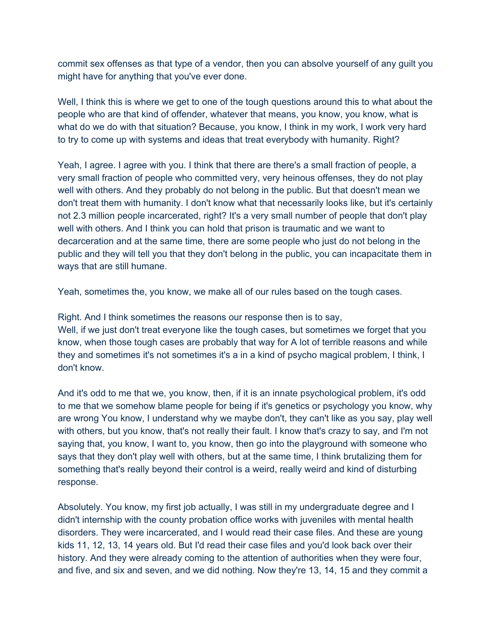commit sex offenses as that type of a vendor, then you can absolve yourself of any guilt you might have for anything that you've ever done.

Well, I think this is where we get to one of the tough questions around this to what about the people who are that kind of offender, whatever that means, you know, you know, what is what do we do with that situation? Because, you know, I think in my work, I work very hard to try to come up with systems and ideas that treat everybody with humanity. Right?

Yeah, I agree. I agree with you. I think that there are there's a small fraction of people, a very small fraction of people who committed very, very heinous offenses, they do not play well with others. And they probably do not belong in the public. But that doesn't mean we don't treat them with humanity. I don't know what that necessarily looks like, but it's certainly not 2.3 million people incarcerated, right? It's a very small number of people that don't play well with others. And I think you can hold that prison is traumatic and we want to decarceration and at the same time, there are some people who just do not belong in the public and they will tell you that they don't belong in the public, you can incapacitate them in ways that are still humane.

Yeah, sometimes the, you know, we make all of our rules based on the tough cases.

Right. And I think sometimes the reasons our response then is to say, Well, if we just don't treat everyone like the tough cases, but sometimes we forget that you

know, when those tough cases are probably that way for A lot of terrible reasons and while they and sometimes it's not sometimes it's a in a kind of psycho magical problem, I think, I don't know.

And it's odd to me that we, you know, then, if it is an innate psychological problem, it's odd to me that we somehow blame people for being if it's genetics or psychology you know, why are wrong You know, I understand why we maybe don't, they can't like as you say, play well with others, but you know, that's not really their fault. I know that's crazy to say, and I'm not saying that, you know, I want to, you know, then go into the playground with someone who says that they don't play well with others, but at the same time, I think brutalizing them for something that's really beyond their control is a weird, really weird and kind of disturbing response.

Absolutely. You know, my first job actually, I was still in my undergraduate degree and I didn't internship with the county probation office works with juveniles with mental health disorders. They were incarcerated, and I would read their case files. And these are young kids 11, 12, 13, 14 years old. But I'd read their case files and you'd look back over their history. And they were already coming to the attention of authorities when they were four, and five, and six and seven, and we did nothing. Now they're 13, 14, 15 and they commit a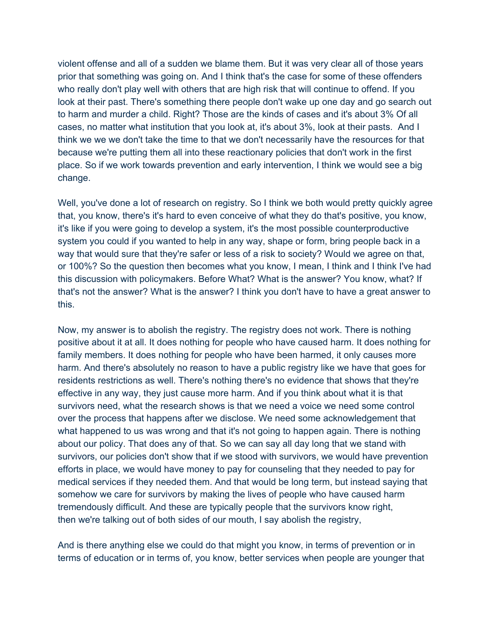violent offense and all of a sudden we blame them. But it was very clear all of those years prior that something was going on. And I think that's the case for some of these offenders who really don't play well with others that are high risk that will continue to offend. If you look at their past. There's something there people don't wake up one day and go search out to harm and murder a child. Right? Those are the kinds of cases and it's about 3% Of all cases, no matter what institution that you look at, it's about 3%, look at their pasts. And I think we we we don't take the time to that we don't necessarily have the resources for that because we're putting them all into these reactionary policies that don't work in the first place. So if we work towards prevention and early intervention, I think we would see a big change.

Well, you've done a lot of research on registry. So I think we both would pretty quickly agree that, you know, there's it's hard to even conceive of what they do that's positive, you know, it's like if you were going to develop a system, it's the most possible counterproductive system you could if you wanted to help in any way, shape or form, bring people back in a way that would sure that they're safer or less of a risk to society? Would we agree on that, or 100%? So the question then becomes what you know, I mean, I think and I think I've had this discussion with policymakers. Before What? What is the answer? You know, what? If that's not the answer? What is the answer? I think you don't have to have a great answer to this.

Now, my answer is to abolish the registry. The registry does not work. There is nothing positive about it at all. It does nothing for people who have caused harm. It does nothing for family members. It does nothing for people who have been harmed, it only causes more harm. And there's absolutely no reason to have a public registry like we have that goes for residents restrictions as well. There's nothing there's no evidence that shows that they're effective in any way, they just cause more harm. And if you think about what it is that survivors need, what the research shows is that we need a voice we need some control over the process that happens after we disclose. We need some acknowledgement that what happened to us was wrong and that it's not going to happen again. There is nothing about our policy. That does any of that. So we can say all day long that we stand with survivors, our policies don't show that if we stood with survivors, we would have prevention efforts in place, we would have money to pay for counseling that they needed to pay for medical services if they needed them. And that would be long term, but instead saying that somehow we care for survivors by making the lives of people who have caused harm tremendously difficult. And these are typically people that the survivors know right, then we're talking out of both sides of our mouth, I say abolish the registry,

And is there anything else we could do that might you know, in terms of prevention or in terms of education or in terms of, you know, better services when people are younger that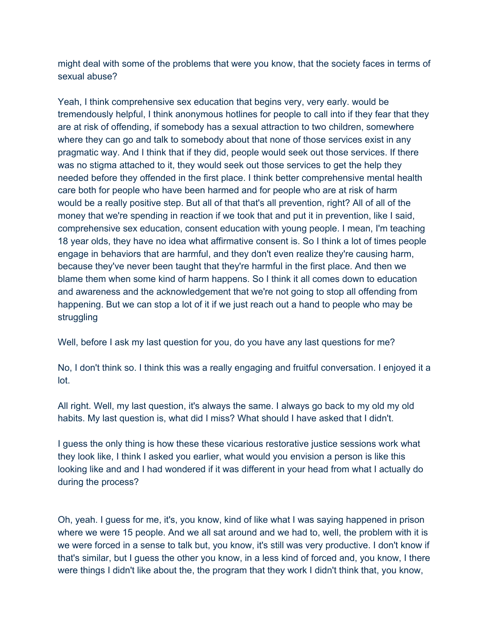might deal with some of the problems that were you know, that the society faces in terms of sexual abuse?

Yeah, I think comprehensive sex education that begins very, very early. would be tremendously helpful, I think anonymous hotlines for people to call into if they fear that they are at risk of offending, if somebody has a sexual attraction to two children, somewhere where they can go and talk to somebody about that none of those services exist in any pragmatic way. And I think that if they did, people would seek out those services. If there was no stigma attached to it, they would seek out those services to get the help they needed before they offended in the first place. I think better comprehensive mental health care both for people who have been harmed and for people who are at risk of harm would be a really positive step. But all of that that's all prevention, right? All of all of the money that we're spending in reaction if we took that and put it in prevention, like I said, comprehensive sex education, consent education with young people. I mean, I'm teaching 18 year olds, they have no idea what affirmative consent is. So I think a lot of times people engage in behaviors that are harmful, and they don't even realize they're causing harm, because they've never been taught that they're harmful in the first place. And then we blame them when some kind of harm happens. So I think it all comes down to education and awareness and the acknowledgement that we're not going to stop all offending from happening. But we can stop a lot of it if we just reach out a hand to people who may be struggling

Well, before I ask my last question for you, do you have any last questions for me?

No, I don't think so. I think this was a really engaging and fruitful conversation. I enjoyed it a lot.

All right. Well, my last question, it's always the same. I always go back to my old my old habits. My last question is, what did I miss? What should I have asked that I didn't.

I guess the only thing is how these these vicarious restorative justice sessions work what they look like, I think I asked you earlier, what would you envision a person is like this looking like and and I had wondered if it was different in your head from what I actually do during the process?

Oh, yeah. I guess for me, it's, you know, kind of like what I was saying happened in prison where we were 15 people. And we all sat around and we had to, well, the problem with it is we were forced in a sense to talk but, you know, it's still was very productive. I don't know if that's similar, but I guess the other you know, in a less kind of forced and, you know, I there were things I didn't like about the, the program that they work I didn't think that, you know,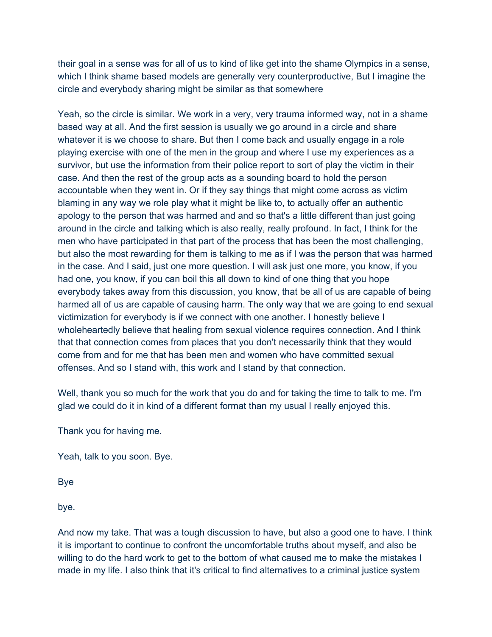their goal in a sense was for all of us to kind of like get into the shame Olympics in a sense, which I think shame based models are generally very counterproductive, But I imagine the circle and everybody sharing might be similar as that somewhere

Yeah, so the circle is similar. We work in a very, very trauma informed way, not in a shame based way at all. And the first session is usually we go around in a circle and share whatever it is we choose to share. But then I come back and usually engage in a role playing exercise with one of the men in the group and where I use my experiences as a survivor, but use the information from their police report to sort of play the victim in their case. And then the rest of the group acts as a sounding board to hold the person accountable when they went in. Or if they say things that might come across as victim blaming in any way we role play what it might be like to, to actually offer an authentic apology to the person that was harmed and and so that's a little different than just going around in the circle and talking which is also really, really profound. In fact, I think for the men who have participated in that part of the process that has been the most challenging, but also the most rewarding for them is talking to me as if I was the person that was harmed in the case. And I said, just one more question. I will ask just one more, you know, if you had one, you know, if you can boil this all down to kind of one thing that you hope everybody takes away from this discussion, you know, that be all of us are capable of being harmed all of us are capable of causing harm. The only way that we are going to end sexual victimization for everybody is if we connect with one another. I honestly believe I wholeheartedly believe that healing from sexual violence requires connection. And I think that that connection comes from places that you don't necessarily think that they would come from and for me that has been men and women who have committed sexual offenses. And so I stand with, this work and I stand by that connection.

Well, thank you so much for the work that you do and for taking the time to talk to me. I'm glad we could do it in kind of a different format than my usual I really enjoyed this.

Thank you for having me.

Yeah, talk to you soon. Bye.

Bye

bye.

And now my take. That was a tough discussion to have, but also a good one to have. I think it is important to continue to confront the uncomfortable truths about myself, and also be willing to do the hard work to get to the bottom of what caused me to make the mistakes I made in my life. I also think that it's critical to find alternatives to a criminal justice system